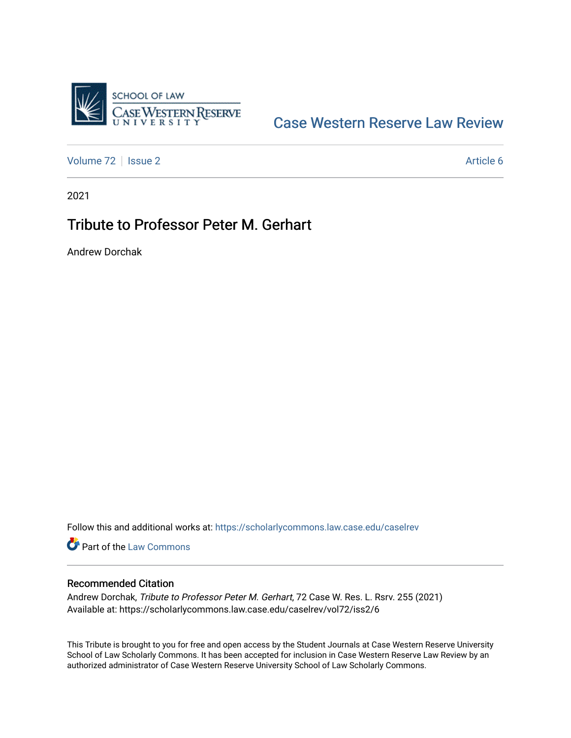

## [Case Western Reserve Law Review](https://scholarlycommons.law.case.edu/caselrev)

[Volume 72](https://scholarlycommons.law.case.edu/caselrev/vol72) | [Issue 2](https://scholarlycommons.law.case.edu/caselrev/vol72/iss2) Article 6

2021

## Tribute to Professor Peter M. Gerhart

Andrew Dorchak

Follow this and additional works at: [https://scholarlycommons.law.case.edu/caselrev](https://scholarlycommons.law.case.edu/caselrev?utm_source=scholarlycommons.law.case.edu%2Fcaselrev%2Fvol72%2Fiss2%2F6&utm_medium=PDF&utm_campaign=PDFCoverPages)

Part of the [Law Commons](https://network.bepress.com/hgg/discipline/578?utm_source=scholarlycommons.law.case.edu%2Fcaselrev%2Fvol72%2Fiss2%2F6&utm_medium=PDF&utm_campaign=PDFCoverPages)

## Recommended Citation

Andrew Dorchak, Tribute to Professor Peter M. Gerhart, 72 Case W. Res. L. Rsrv. 255 (2021) Available at: https://scholarlycommons.law.case.edu/caselrev/vol72/iss2/6

This Tribute is brought to you for free and open access by the Student Journals at Case Western Reserve University School of Law Scholarly Commons. It has been accepted for inclusion in Case Western Reserve Law Review by an authorized administrator of Case Western Reserve University School of Law Scholarly Commons.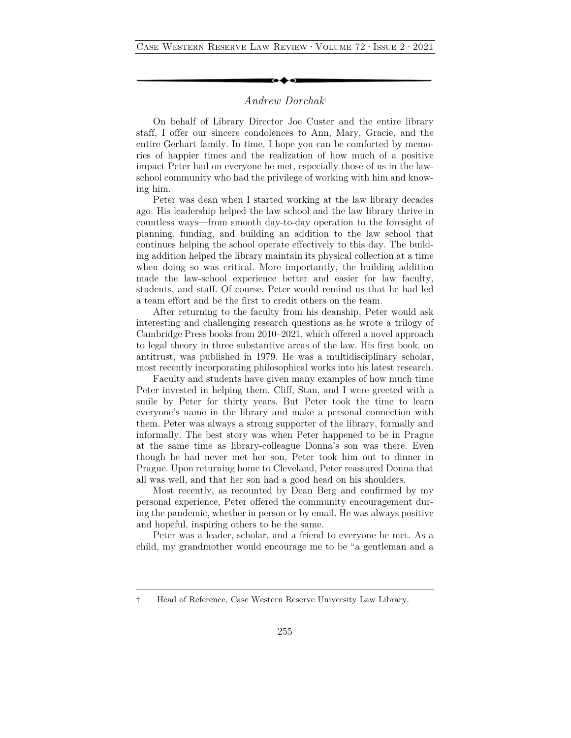## *Andrew Dorchak*†

On behalf of Library Director Joe Custer and the entire library staff, I offer our sincere condolences to Ann, Mary, Gracie, and the entire Gerhart family. In time, I hope you can be comforted by memories of happier times and the realization of how much of a positive impact Peter had on everyone he met, especially those of us in the lawschool community who had the privilege of working with him and knowing him.

Peter was dean when I started working at the law library decades ago. His leadership helped the law school and the law library thrive in countless ways—from smooth day-to-day operation to the foresight of planning, funding, and building an addition to the law school that continues helping the school operate effectively to this day. The building addition helped the library maintain its physical collection at a time when doing so was critical. More importantly, the building addition made the law-school experience better and easier for law faculty, students, and staff. Of course, Peter would remind us that he had led a team effort and be the first to credit others on the team.

After returning to the faculty from his deanship, Peter would ask interesting and challenging research questions as he wrote a trilogy of Cambridge Press books from 2010–2021, which offered a novel approach to legal theory in three substantive areas of the law. His first book, on antitrust, was published in 1979. He was a multidisciplinary scholar, most recently incorporating philosophical works into his latest research.

Faculty and students have given many examples of how much time Peter invested in helping them. Cliff, Stan, and I were greeted with a smile by Peter for thirty years. But Peter took the time to learn everyone's name in the library and make a personal connection with them. Peter was always a strong supporter of the library, formally and informally. The best story was when Peter happened to be in Prague at the same time as library-colleague Donna's son was there. Even though he had never met her son, Peter took him out to dinner in Prague. Upon returning home to Cleveland, Peter reassured Donna that all was well, and that her son had a good head on his shoulders.

Most recently, as recounted by Dean Berg and confirmed by my personal experience, Peter offered the community encouragement during the pandemic, whether in person or by email. He was always positive and hopeful, inspiring others to be the same.

Peter was a leader, scholar, and a friend to everyone he met. As a child, my grandmother would encourage me to be "a gentleman and a

<sup>†</sup> Head of Reference, Case Western Reserve University Law Library.